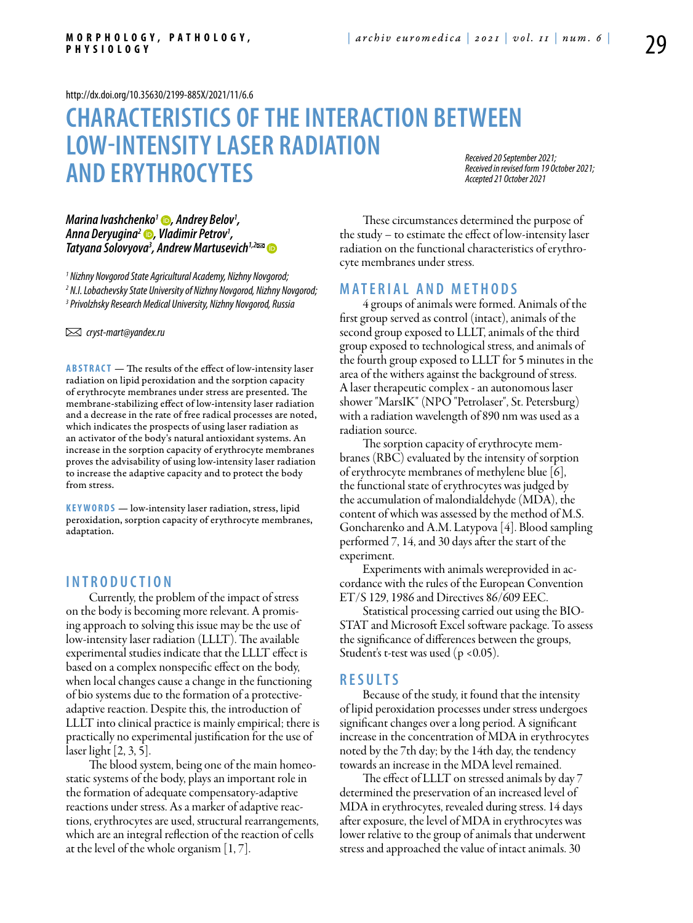<http://dx.doi.org/10.35630/2199-885X/2021/11/6.6>

# **CHARACTERISTICS OF THE INTERACTION BETWEEN LOW-INTENSITYLASER RADIATION AND ERYTHROCYTES**

*Received 20 September 2021; Received in revised form 19 October 2021; Accepted 21 October 2021*

## *[Marina Ivashchenko1](tps://orcid.org/0000-0001-6642-8518) , Andrey Belov1 , [Anna Deryugina2](https://orcid.org/0000-0001-8812-8559) , Vladimir Petrov1 , Tatyana Solovyova3 , [Andrew Martusevich1](https://orcid.org/0000-0002-0818-5316),2*

*1 Nizhny Novgorod State Agricultural Academy, Nizhny Novgorod; 2 N.I. Lobachevsky State University of Nizhny Novgorod, Nizhny Novgorod; 3 Privolzhsky Research Medical University, Nizhny Novgorod, Russia*

 *cryst-mart@yandex.ru*

**ABSTRACT** — The results of the effect of low-intensity laser radiation on lipid peroxidation and the sorption capacity of erythrocyte membranes under stress are presented. The membrane-stabilizing effect of low-intensity laser radiation and a decrease in the rate of free radical processes are noted, which indicates the prospects of using laser radiation as an activator of the body's natural antioxidant systems. An increase in the sorption capacity of erythrocyte membranes proves the advisability of using low-intensity laser radiation to increase the adaptive capacity and to protect the body from stress.

KEYWORDS — low-intensity laser radiation, stress, lipid peroxidation, sorption capacity of erythrocyte membranes, adaptation.

# **I n t r o d uct i o n**

Currently, the problem of the impact of stress on the body is becoming more relevant. A promising approach to solving this issue may be the use of low-intensity laser radiation (LLLT). The available experimental studies indicate that the LLLT effect is based on a complex nonspecific effect on the body, when local changes cause a change in the functioning of bio systems due to the formation of a protectiveadaptive reaction. Despite this, the introduction of LLLT into clinical practice is mainly empirical; there is practically no experimental justification for the use of laser light [2, 3, 5].

The blood system, being one of the main homeostatic systems of the body, plays an important role in the formation of adequate compensatory-adaptive reactions under stress. As a marker of adaptive reactions, erythrocytes are used, structural rearrangements, which are an integral reflection of the reaction of cells at the level of the whole organism [1, 7].

These circumstances determined the purpose of the study – to estimate the effect of low-intensity laser radiation on the functional characteristics of erythrocyte membranes under stress.

## **M a t e r i a l a n d me t h o d s**

4 groups of animals were formed. Animals of the first group served as control (intact), animals of the second group exposed to LLLT, animals of the third group exposed to technological stress, and animals of the fourth group exposed to LLLT for 5 minutes in the area of the withers against the background of stress. A laser therapeutic complex - an autonomous laser shower "MarsIK" (NPO "Petrolaser", St. Petersburg) with a radiation wavelength of 890 nm was used as a radiation source.

The sorption capacity of erythrocyte membranes (RBC) evaluated by the intensity of sorption of erythrocyte membranes of methylene blue [6], the functional state of erythrocytes was judged by the accumulation of malondialdehyde (MDA), the content of which was assessed by the method of M.S. Goncharenko and A.M. Latypova [4]. Blood sampling performed 7, 14, and 30 days after the start of the experiment.

Experiments with animals wereprovided in accordance with the rules of the European Convention ET/S 129, 1986 and Directives 86/609 EEC.

Statistical processing carried out using the BIO-STAT and Microsoft Excel software package. To assess the significance of differences between the groups, Student's t-test was used (p <0.05).

## **R e s u l t s**

Because of the study, it found that the intensity of lipid peroxidation processes under stress undergoes significant changes over a long period. A significant increase in the concentration of MDA in erythrocytes noted by the 7th day; by the 14th day, the tendency towards an increase in the MDA level remained.

The effect of LLLT on stressed animals by day 7 determined the preservation of an increased level of MDA in erythrocytes, revealed during stress. 14 days after exposure, the level of MDA in erythrocytes was lower relative to the group of animals that underwent stress and approached the value of intact animals. 30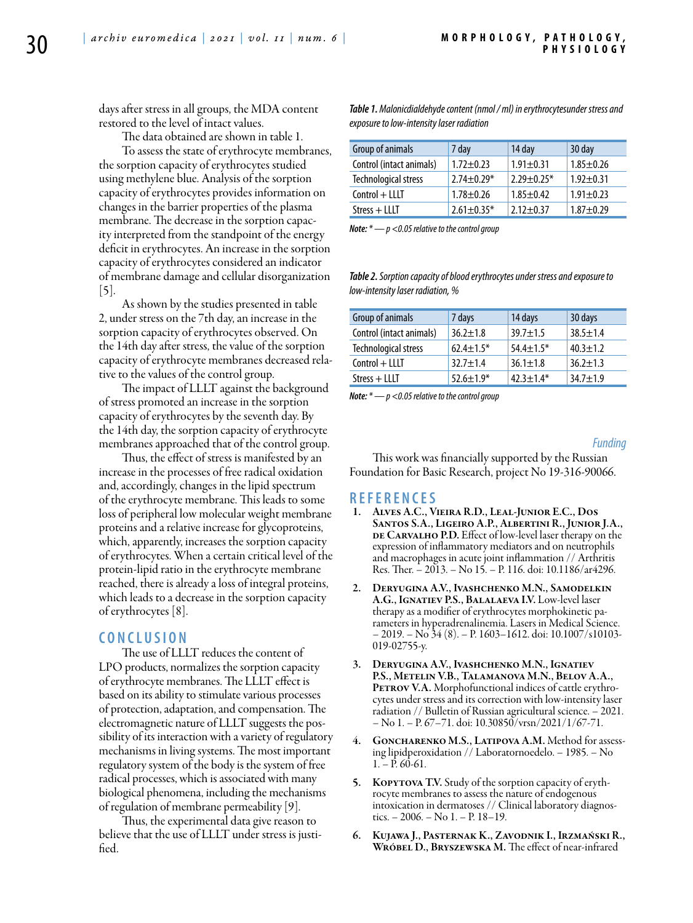days after stress in all groups, the MDA content restored to the level of intact values.

The data obtained are shown in table 1.

To assess the state of erythrocyte membranes, the sorption capacity of erythrocytes studied using methylene blue. Analysis of the sorption capacity of erythrocytes provides information on changes in the barrier properties of the plasma membrane. The decrease in the sorption capacity interpreted from the standpoint of the energy deficit in erythrocytes. An increase in the sorption capacity of erythrocytes considered an indicator of membrane damage and cellular disorganization  $|5|$ .

As shown by the studies presented in table 2, under stress on the 7th day, an increase in the sorption capacity of erythrocytes observed. On the 14th day after stress, the value of the sorption capacity of erythrocyte membranes decreased relative to the values of the control group.

The impact of LLLT against the background of stress promoted an increase in the sorption capacity of erythrocytes by the seventh day. By the 14th day, the sorption capacity of erythrocyte membranes approached that of the control group.

Thus, the effect of stress is manifested by an increase in the processes of free radical oxidation and, accordingly, changes in the lipid spectrum of the erythrocyte membrane. This leads to some loss of peripheral low molecular weight membrane proteins and a relative increase for glycoproteins, which, apparently, increases the sorption capacity of erythrocytes. When a certain critical level of the protein-lipid ratio in the erythrocyte membrane reached, there is already a loss of integral proteins, which leads to a decrease in the sorption capacity of erythrocytes [8].

# **C o n cl u s i o n**

The use of LLLT reduces the content of LPO products, normalizes the sorption capacity of erythrocyte membranes. The LLLT effect is based on its ability to stimulate various processes of protection, adaptation, and compensation. The electromagnetic nature of LLLT suggests the possibility of its interaction with a variety of regulatory mechanisms in living systems. The most important regulatory system of the body is the system of free radical processes, which is associated with many biological phenomena, including the mechanisms of regulation of membrane permeability [9].

Thus, the experimental data give reason to believe that the use of LLLT under stress is justified.

*Table 1. Malonicdialdehyde content (nmol / ml) in erythrocytesunder stress and exposure to low-intensity laser radiation*

| Group of animals         | 7 day            | 14 day           | 30 day          |
|--------------------------|------------------|------------------|-----------------|
| Control (intact animals) | $1.72 \pm 0.23$  | $1.91 \pm 0.31$  | $1.85 \pm 0.26$ |
| Technological stress     | $2.74 \pm 0.29*$ | $2.29 \pm 0.25*$ | $1.92 \pm 0.31$ |
| $Control + LLI$          | $1.78 + 0.26$    | $1.85 \pm 0.42$  | $1.91 \pm 0.23$ |
| $Stress + LLLT$          | $2.61 \pm 0.35*$ | $2.12 \pm 0.37$  | $1.87 + 0.29$   |

*Note: \* — p <0.05 relative to the control group*

*Table 2. Sorption capacity of blood erythrocytes under stress and exposure to low-intensity laser radiation, %*

| Group of animals         | 7 days          | 14 days         | 30 days        |
|--------------------------|-----------------|-----------------|----------------|
| Control (intact animals) | $36.2 \pm 1.8$  | $39.7 \pm 1.5$  | $38.5 \pm 1.4$ |
| Technological stress     | $62.4 \pm 1.5*$ | $54.4 \pm 1.5*$ | $40.3 \pm 1.2$ |
| $Control + LLI$          | $32.7 \pm 1.4$  | $36.1 \pm 1.8$  | $36.2 + 1.3$   |
| $Stress + LLLT$          | $52.6 \pm 1.9*$ | $42.3 \pm 1.4*$ | $34.7 \pm 1.9$ |

*Note: \* — p <0.05 relative to the control group*

#### *Funding*

This work was financially supported by the Russian Foundation for Basic Research, project No 19-316-90066.

#### **R efe r e n ce s**

- 1. Alves A.C., Vieira R.D., Leal-Junior E.C., Dos Santos S.A., Ligeiro A.P., Albertini R., Junior J.A., DE CARVALHO P.D. Effect of low-level laser therapy on the expression of inflammatory mediators and on neutrophils and macrophages in acute joint inflammation // Arthritis Res. Ther. – 2013. – No 15. – Р. 116. doi: 10.1186/ar4296.
- 2. Deryugina A.V., Ivashchenko M.N., Samodelkin A.G., Ignatiev P.S., Balalaeva I.V. Low-level laser therapy as a modifier of erythrocytes morphokinetic parameters in hyperadrenalinemia. Lasers in Medical Science.  $-2019. -\text{No }34(8)$ . – P. 1603–1612. doi: 10.1007/s10103-019-02755-y.
- DERYUGINA A.V., IVASHCHENKO M.N., IGNATIEV P.S., Metelin V.B., Talamanova M.N., Belov A.A., PETROV V.A. Morphofunctional indices of cattle erythrocytes under stress and its correction with low-intensity laser radiation // Bulletin of Russian agricultural science. – 2021. – No 1. – Р. 67–71. doi: 10.30850/vrsn/2021/1/67-71.
- GONCHARENKO M.S., LATIPOVA A.M. Method for assess-<br>ing lipidperoxidation // Laboratornoedelo. 1985. No  $1 - P. 60 - 61.$
- 5. KOPYTOVA T.V. Study of the sorption capacity of erythrocyte membranes to assess the nature of endogenous intoxication in dermatoses // Clinical laboratory diagnostics. – 2006. – No 1. – P. 18–19.
- 6. Kujawa J., Pasternak K., Zavodnik I., Irzmański R., WRÓBEL D., BRYSZEWSKA M. The effect of near-infrared